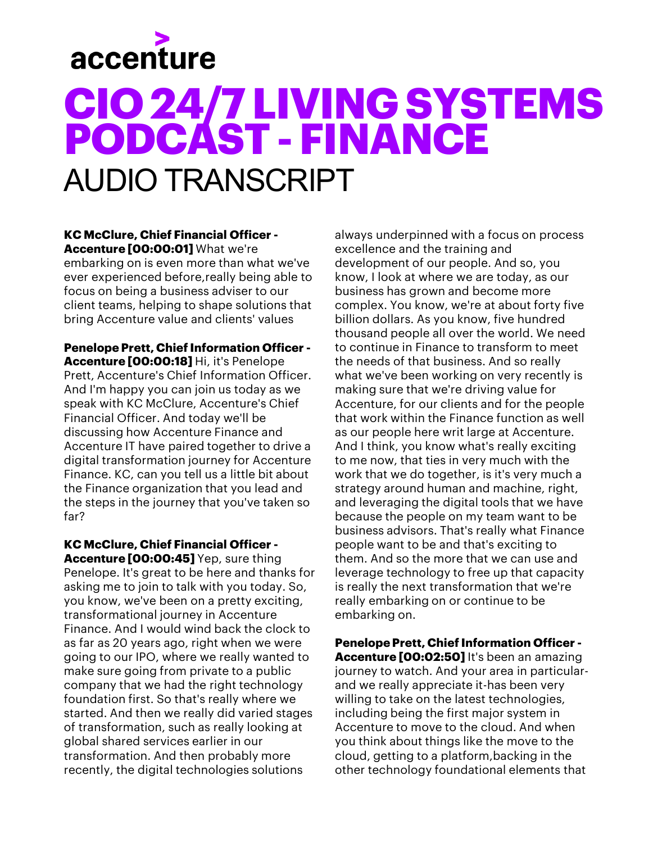## **CIO 24/7LIVING SYSTEMS PODCAST -FINANCE** AUDIO TRANSCRIPT

#### **KC McClure, Chief Financial Officer - Accenture [00:00:01]** What we're

embarking on is even more than what we've ever experienced before,really being able to focus on being a business adviser to our client teams, helping to shape solutions that bring Accenture value and clients' values

**Penelope Prett, Chief Information Officer - Accenture [00:00:18]** Hi, it's Penelope Prett, Accenture's Chief Information Officer. And I'm happy you can join us today as we speak with KC McClure, Accenture's Chief Financial Officer. And today we'll be discussing how Accenture Finance and Accenture IT have paired together to drive a digital transformation journey for Accenture Finance. KC, can you tell us a little bit about the Finance organization that you lead and the steps in the journey that you've taken so far?

**KC McClure, Chief Financial Officer - Accenture [00:00:45]** Yep, sure thing Penelope. It's great to be here and thanks for asking me to join to talk with you today. So, you know, we've been on a pretty exciting, transformational journey in Accenture Finance. And I would wind back the clock to as far as 20 years ago, right when we were going to our IPO, where we really wanted to make sure going from private to a public company that we had the right technology foundation first. So that's really where we started. And then we really did varied stages of transformation, such as really looking at global shared services earlier in our transformation. And then probably more recently, the digital technologies solutions

always underpinned with a focus on process excellence and the training and development of our people. And so, you know, I look at where we are today, as our business has grown and become more complex. You know, we're at about forty five billion dollars. As you know, five hundred thousand people all over the world. We need to continue in Finance to transform to meet the needs of that business. And so really what we've been working on very recently is making sure that we're driving value for Accenture, for our clients and for the people that work within the Finance function as well as our people here writ large at Accenture. And I think, you know what's really exciting to me now, that ties in very much with the work that we do together, is it's very much a strategy around human and machine, right, and leveraging the digital tools that we have because the people on my team want to be business advisors. That's really what Finance people want to be and that's exciting to them. And so the more that we can use and leverage technology to free up that capacity is really the next transformation that we're really embarking on or continue to be embarking on.

**Penelope Prett, Chief Information Officer - Accenture [00:02:50]** It's been an amazing journey to watch. And your area in particularand we really appreciate it-has been very willing to take on the latest technologies, including being the first major system in Accenture to move to the cloud. And when you think about things like the move to the cloud, getting to a platform,backing in the other technology foundational elements that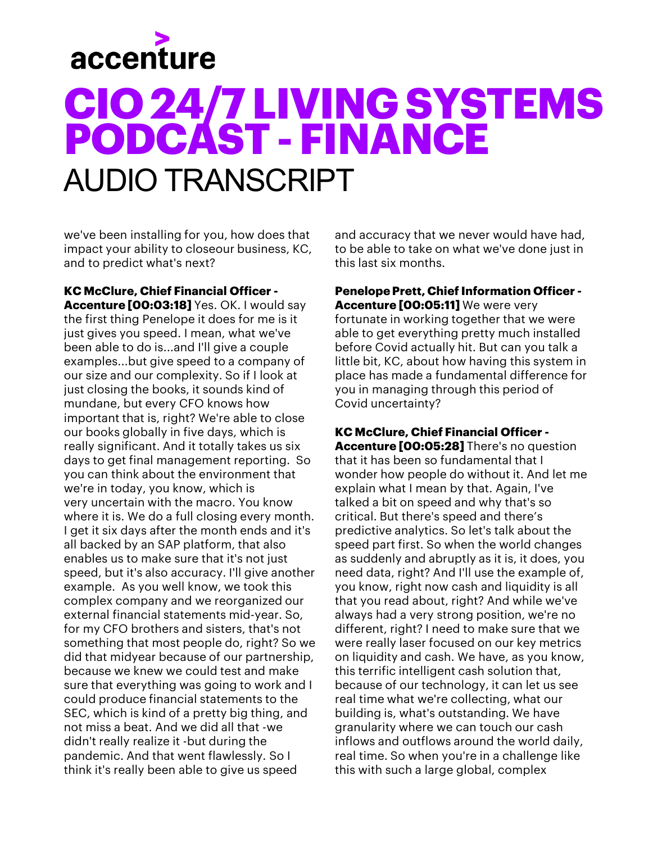## **CIO 24/7 LIVING SYSTEMS PODCAST -FINANCE** AUDIO TRANSCRIPT

we've been installing for you, how does that impact your ability to closeour business, KC, and to predict what's next?

**KC McClure, Chief Financial Officer - Accenture [00:03:18]** Yes. OK. I would say the first thing Penelope it does for me is it just gives you speed. I mean, what we've been able to do is...and I'll give a couple examples...but give speed to a company of our size and our complexity. So if I look at just closing the books, it sounds kind of mundane, but every CFO knows how important that is, right? We're able to close our books globally in five days, which is really significant. And it totally takes us six days to get final management reporting. So you can think about the environment that we're in today, you know, which is very uncertain with the macro. You know where it is. We do a full closing every month. I get it six days after the month ends and it's all backed by an SAP platform, that also enables us to make sure that it's not just speed, but it's also accuracy. I'll give another example. As you well know, we took this complex company and we reorganized our external financial statements mid-year. So, for my CFO brothers and sisters, that's not something that most people do, right? So we did that midyear because of our partnership, because we knew we could test and make sure that everything was going to work and I could produce financial statements to the SEC, which is kind of a pretty big thing, and not miss a beat. And we did all that -we didn't really realize it -but during the pandemic. And that went flawlessly. So I think it's really been able to give us speed

and accuracy that we never would have had, to be able to take on what we've done just in this last six months.

**Penelope Prett, Chief Information Officer - Accenture [00:05:11]** We were very fortunate in working together that we were able to get everything pretty much installed before Covid actually hit. But can you talk a little bit, KC, about how having this system in place has made a fundamental difference for you in managing through this period of Covid uncertainty?

**KC McClure, Chief Financial Officer - Accenture [00:05:28]** There's no question that it has been so fundamental that I wonder how people do without it. And let me explain what I mean by that. Again, I've talked a bit on speed and why that's so critical. But there's speed and there's predictive analytics. So let's talk about the speed part first. So when the world changes as suddenly and abruptly as it is, it does, you need data, right? And I'll use the example of, you know, right now cash and liquidity is all that you read about, right? And while we've always had a very strong position, we're no different, right? I need to make sure that we were really laser focused on our key metrics on liquidity and cash. We have, as you know, this terrific intelligent cash solution that, because of our technology, it can let us see real time what we're collecting, what our building is, what's outstanding. We have granularity where we can touch our cash inflows and outflows around the world daily, real time. So when you're in a challenge like this with such a large global, complex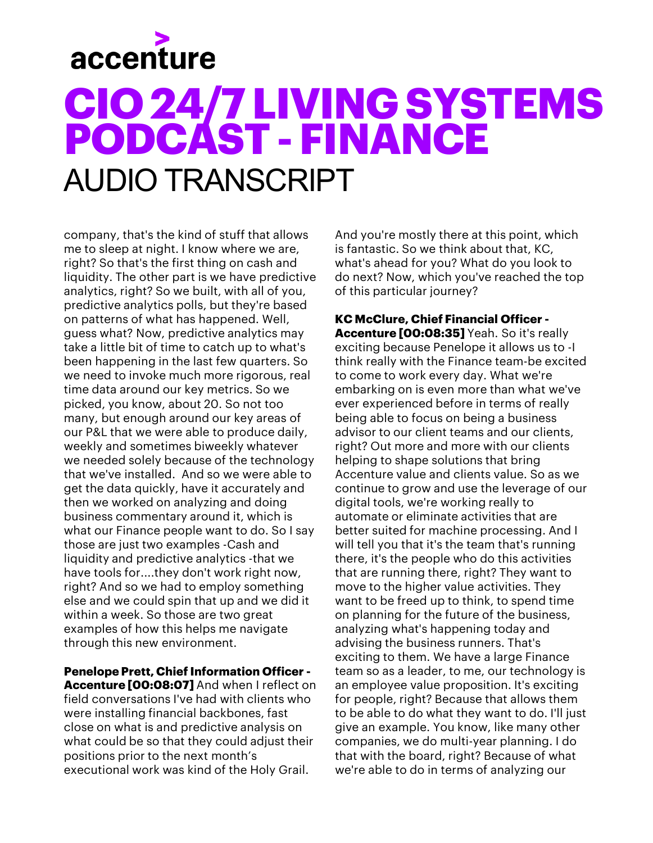## **CIO 24/7 LIVING SYSTEMS PODCAST -FINANCE** AUDIO TRANSCRIPT

company, that's the kind of stuff that allows me to sleep at night. I know where we are, right? So that's the first thing on cash and liquidity. The other part is we have predictive analytics, right? So we built, with all of you, predictive analytics polls, but they're based on patterns of what has happened. Well, guess what? Now, predictive analytics may take a little bit of time to catch up to what's been happening in the last few quarters. So we need to invoke much more rigorous, real time data around our key metrics. So we picked, you know, about 20. So not too many, but enough around our key areas of our P&L that we were able to produce daily, weekly and sometimes biweekly whatever we needed solely because of the technology that we've installed. And so we were able to get the data quickly, have it accurately and then we worked on analyzing and doing business commentary around it, which is what our Finance people want to do. So I say those are just two examples -Cash and liquidity and predictive analytics -that we have tools for....they don't work right now, right? And so we had to employ something else and we could spin that up and we did it within a week. So those are two great examples of how this helps me navigate through this new environment.

#### **Penelope Prett, Chief Information Officer -**

**Accenture [00:08:07]** And when I reflect on field conversations I've had with clients who were installing financial backbones, fast close on what is and predictive analysis on what could be so that they could adjust their positions prior to the next month's executional work was kind of the Holy Grail.

And you're mostly there at this point, which is fantastic. So we think about that, KC, what's ahead for you? What do you look to do next? Now, which you've reached the top of this particular journey?

**KC McClure, Chief Financial Officer - Accenture [00:08:35]** Yeah. So it's really exciting because Penelope it allows us to -I think really with the Finance team-be excited to come to work every day. What we're embarking on is even more than what we've ever experienced before in terms of really being able to focus on being a business advisor to our client teams and our clients, right? Out more and more with our clients helping to shape solutions that bring Accenture value and clients value. So as we continue to grow and use the leverage of our digital tools, we're working really to automate or eliminate activities that are better suited for machine processing. And I will tell you that it's the team that's running there, it's the people who do this activities that are running there, right? They want to move to the higher value activities. They want to be freed up to think, to spend time on planning for the future of the business, analyzing what's happening today and advising the business runners. That's exciting to them. We have a large Finance team so as a leader, to me, our technology is an employee value proposition. It's exciting for people, right? Because that allows them to be able to do what they want to do. I'll just give an example. You know, like many other companies, we do multi-year planning. I do that with the board, right? Because of what we're able to do in terms of analyzing our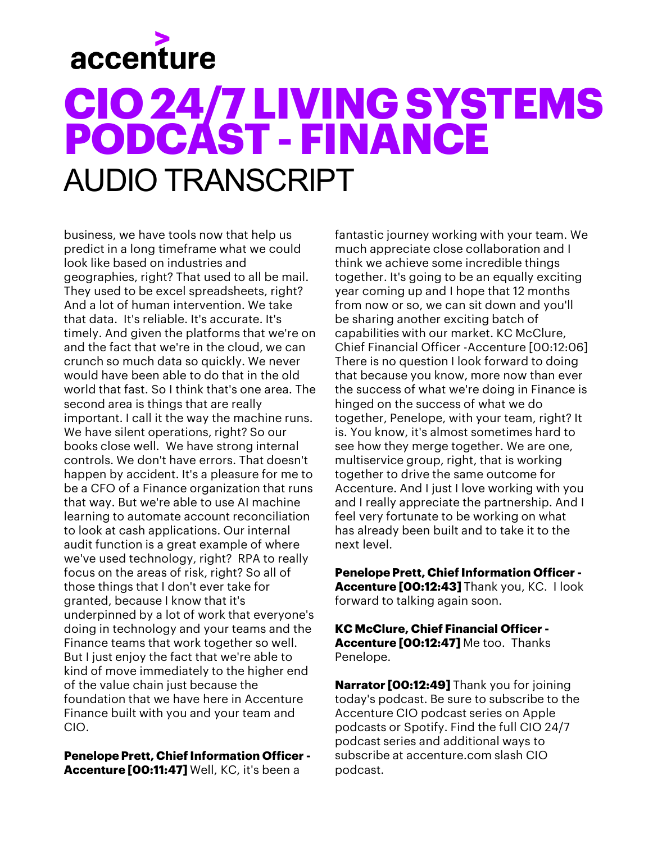## **CIO 24/7 LIVING SYSTEMS PODCAST -FINANCE** AUDIO TRANSCRIPT

business, we have tools now that help us predict in a long timeframe what we could look like based on industries and geographies, right? That used to all be mail. They used to be excel spreadsheets, right? And a lot of human intervention. We take that data. It's reliable. It's accurate. It's timely. And given the platforms that we're on and the fact that we're in the cloud, we can crunch so much data so quickly. We never would have been able to do that in the old world that fast. So I think that's one area. The second area is things that are really important. I call it the way the machine runs. We have silent operations, right? So our books close well. We have strong internal controls. We don't have errors. That doesn't happen by accident. It's a pleasure for me to be a CFO of a Finance organization that runs that way. But we're able to use AI machine learning to automate account reconciliation to look at cash applications. Our internal audit function is a great example of where we've used technology, right? RPA to really focus on the areas of risk, right? So all of those things that I don't ever take for granted, because I know that it's underpinned by a lot of work that everyone's doing in technology and your teams and the Finance teams that work together so well. But I just enjoy the fact that we're able to kind of move immediately to the higher end of the value chain just because the foundation that we have here in Accenture Finance built with you and your team and CIO.

**Penelope Prett, Chief Information Officer - Accenture [00:11:47]** Well, KC, it's been a

fantastic journey working with your team. We much appreciate close collaboration and I think we achieve some incredible things together. It's going to be an equally exciting year coming up and I hope that 12 months from now or so, we can sit down and you'll be sharing another exciting batch of capabilities with our market. KC McClure, Chief Financial Officer -Accenture [00:12:06] There is no question I look forward to doing that because you know, more now than ever the success of what we're doing in Finance is hinged on the success of what we do together, Penelope, with your team, right? It is. You know, it's almost sometimes hard to see how they merge together. We are one, multiservice group, right, that is working together to drive the same outcome for Accenture. And I just I love working with you and I really appreciate the partnership. And I feel very fortunate to be working on what has already been built and to take it to the next level.

**Penelope Prett, Chief Information Officer - Accenture [00:12:43]** Thank you, KC. I look forward to talking again soon.

**KC McClure, Chief Financial Officer - Accenture [00:12:47]** Me too. Thanks Penelope.

**Narrator [00:12:49]** Thank you for joining today's podcast. Be sure to subscribe to the Accenture CIO podcast series on Apple podcasts or Spotify. Find the full CIO 24/7 podcast series and additional ways to subscribe at accenture.com slash CIO podcast.